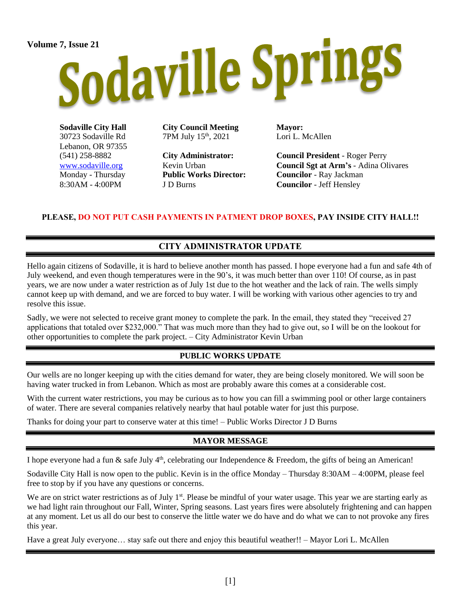# Volume 7, Issue 21<br>Sodaville Springs

**Sodaville City Hall** 30723 Sodaville Rd Lebanon, OR 97355 (541) 258-8882 [www.sodaville.org](http://www.sodaville.org/) Monday - Thursday 8:30AM - 4:00PM

**City Council Meeting** 7PM July 15th, 2021

**City Administrator:** Kevin Urban **Public Works Director:** J D Burns

**Mayor:** Lori L. McAllen

**Council President** - Roger Perry **Council Sgt at Arm's** - Adina Olivares **Councilor** - Ray Jackman **Councilor** - Jeff Hensley

### **PLEASE, DO NOT PUT CASH PAYMENTS IN PATMENT DROP BOXES, PAY INSIDE CITY HALL!!**

## **CITY ADMINISTRATOR UPDATE**

Hello again citizens of Sodaville, it is hard to believe another month has passed. I hope everyone had a fun and safe 4th of July weekend, and even though temperatures were in the 90's, it was much better than over 110! Of course, as in past years, we are now under a water restriction as of July 1st due to the hot weather and the lack of rain. The wells simply cannot keep up with demand, and we are forced to buy water. I will be working with various other agencies to try and resolve this issue.

Sadly, we were not selected to receive grant money to complete the park. In the email, they stated they "received 27 applications that totaled over \$232,000." That was much more than they had to give out, so I will be on the lookout for other opportunities to complete the park project. – City Administrator Kevin Urban

#### **PUBLIC WORKS UPDATE**

Our wells are no longer keeping up with the cities demand for water, they are being closely monitored. We will soon be having water trucked in from Lebanon. Which as most are probably aware this comes at a considerable cost.

With the current water restrictions, you may be curious as to how you can fill a swimming pool or other large containers of water. There are several companies relatively nearby that haul potable water for just this purpose.

Thanks for doing your part to conserve water at this time! – Public Works Director J D Burns

#### **MAYOR MESSAGE**

I hope everyone had a fun  $\&$  safe July 4<sup>th</sup>, celebrating our Independence  $\&$  Freedom, the gifts of being an American!

Sodaville City Hall is now open to the public. Kevin is in the office Monday – Thursday 8:30AM – 4:00PM, please feel free to stop by if you have any questions or concerns.

We are on strict water restrictions as of July  $1<sup>st</sup>$ . Please be mindful of your water usage. This year we are starting early as we had light rain throughout our Fall, Winter, Spring seasons. Last years fires were absolutely frightening and can happen at any moment. Let us all do our best to conserve the little water we do have and do what we can to not provoke any fires this year.

Have a great July everyone… stay safe out there and enjoy this beautiful weather!! – Mayor Lori L. McAllen